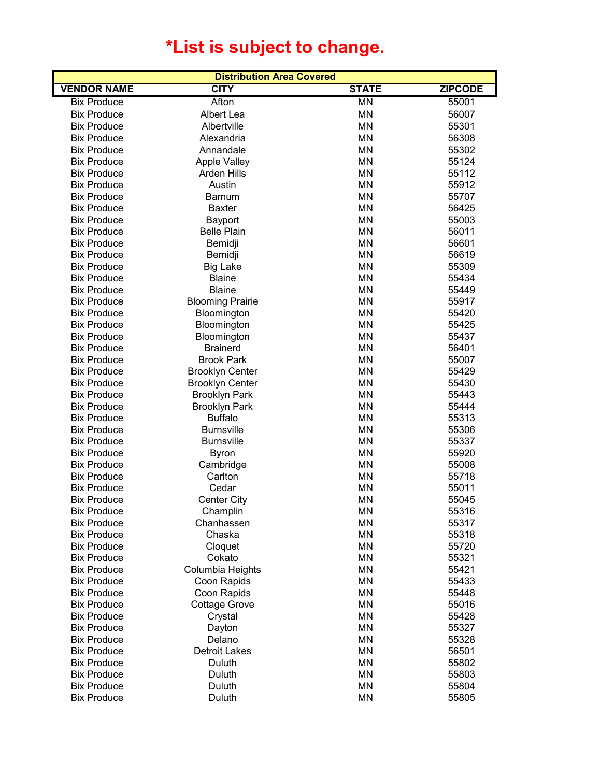## **\*List is subject to change.**

| <b>Distribution Area Covered</b> |                         |                          |                |  |
|----------------------------------|-------------------------|--------------------------|----------------|--|
| <b>VENDOR NAME</b>               | <b>CITY</b>             | <b>STATE</b>             | <b>ZIPCODE</b> |  |
| <b>Bix Produce</b>               | Afton                   | $\overline{\mathsf{MN}}$ | 55001          |  |
| <b>Bix Produce</b>               | Albert Lea              | <b>MN</b>                | 56007          |  |
| <b>Bix Produce</b>               | Albertville             | <b>MN</b>                | 55301          |  |
| <b>Bix Produce</b>               | Alexandria              | <b>MN</b>                | 56308          |  |
| <b>Bix Produce</b>               | Annandale               | <b>MN</b>                | 55302          |  |
| <b>Bix Produce</b>               | <b>Apple Valley</b>     | <b>MN</b>                | 55124          |  |
| <b>Bix Produce</b>               | Arden Hills             | <b>MN</b>                | 55112          |  |
| <b>Bix Produce</b>               | Austin                  | <b>MN</b>                | 55912          |  |
| <b>Bix Produce</b>               | <b>Barnum</b>           | <b>MN</b>                | 55707          |  |
| <b>Bix Produce</b>               | <b>Baxter</b>           | <b>MN</b>                | 56425          |  |
| <b>Bix Produce</b>               | Bayport                 | <b>MN</b>                | 55003          |  |
| <b>Bix Produce</b>               | <b>Belle Plain</b>      | <b>MN</b>                | 56011          |  |
| <b>Bix Produce</b>               | Bemidji                 | <b>MN</b>                | 56601          |  |
| <b>Bix Produce</b>               | Bemidji                 | <b>MN</b>                | 56619          |  |
| <b>Bix Produce</b>               | <b>Big Lake</b>         | <b>MN</b>                | 55309          |  |
| <b>Bix Produce</b>               | <b>Blaine</b>           | <b>MN</b>                | 55434          |  |
| <b>Bix Produce</b>               | <b>Blaine</b>           | <b>MN</b>                | 55449          |  |
| <b>Bix Produce</b>               | <b>Blooming Prairie</b> | <b>MN</b>                | 55917          |  |
| <b>Bix Produce</b>               | Bloomington             | <b>MN</b>                | 55420          |  |
| <b>Bix Produce</b>               | Bloomington             | <b>MN</b>                | 55425          |  |
| <b>Bix Produce</b>               | Bloomington             | <b>MN</b>                | 55437          |  |
| <b>Bix Produce</b>               | <b>Brainerd</b>         | <b>MN</b>                | 56401          |  |
| <b>Bix Produce</b>               | <b>Brook Park</b>       | <b>MN</b>                | 55007          |  |
| <b>Bix Produce</b>               | <b>Brooklyn Center</b>  | <b>MN</b>                | 55429          |  |
| <b>Bix Produce</b>               | <b>Brooklyn Center</b>  | <b>MN</b>                | 55430          |  |
| <b>Bix Produce</b>               | <b>Brooklyn Park</b>    | <b>MN</b>                | 55443          |  |
| <b>Bix Produce</b>               | <b>Brooklyn Park</b>    | <b>MN</b>                | 55444          |  |
| <b>Bix Produce</b>               | <b>Buffalo</b>          | <b>MN</b>                | 55313          |  |
| <b>Bix Produce</b>               | <b>Burnsville</b>       | <b>MN</b>                | 55306          |  |
| <b>Bix Produce</b>               | <b>Burnsville</b>       | <b>MN</b>                | 55337          |  |
| <b>Bix Produce</b>               | <b>Byron</b>            | <b>MN</b>                | 55920          |  |
| <b>Bix Produce</b>               | Cambridge               | <b>MN</b>                | 55008          |  |
| <b>Bix Produce</b>               | Carlton                 | <b>MN</b>                | 55718          |  |
| <b>Bix Produce</b>               | Cedar                   | <b>MN</b>                | 55011          |  |
| <b>Bix Produce</b>               | <b>Center City</b>      | <b>MN</b>                | 55045          |  |
| <b>Bix Produce</b>               | Champlin                | MN                       | 55316          |  |
| <b>Bix Produce</b>               | Chanhassen              | ΜN                       | 55317          |  |
| <b>Bix Produce</b>               | Chaska                  | <b>MN</b>                | 55318          |  |
| <b>Bix Produce</b>               | Cloquet                 | <b>MN</b>                | 55720          |  |
| <b>Bix Produce</b>               | Cokato                  | <b>MN</b>                | 55321          |  |
| <b>Bix Produce</b>               | Columbia Heights        | <b>MN</b>                | 55421          |  |
| <b>Bix Produce</b>               | Coon Rapids             | <b>MN</b>                | 55433          |  |
| <b>Bix Produce</b>               | Coon Rapids             | <b>MN</b>                | 55448          |  |
| <b>Bix Produce</b>               | <b>Cottage Grove</b>    | <b>MN</b>                | 55016          |  |
| <b>Bix Produce</b>               | Crystal                 | <b>MN</b>                | 55428          |  |
| <b>Bix Produce</b>               | Dayton                  | <b>MN</b>                | 55327          |  |
| <b>Bix Produce</b>               | Delano                  | <b>MN</b>                | 55328          |  |
| <b>Bix Produce</b>               | <b>Detroit Lakes</b>    | <b>MN</b>                | 56501          |  |
| <b>Bix Produce</b>               | Duluth                  | <b>MN</b>                | 55802          |  |
| <b>Bix Produce</b>               | Duluth                  | MN                       | 55803          |  |
| <b>Bix Produce</b>               | Duluth                  | <b>MN</b>                | 55804          |  |
| <b>Bix Produce</b>               | Duluth                  | <b>MN</b>                | 55805          |  |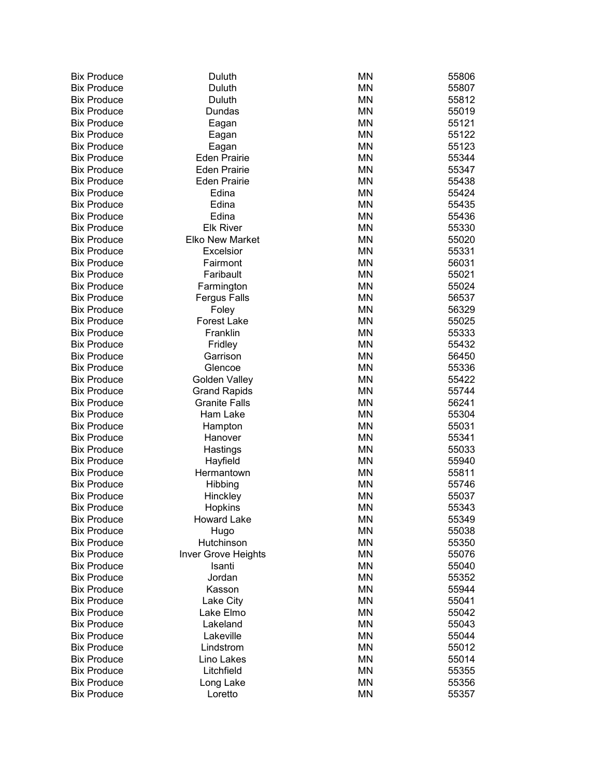| Bix | Produce            |
|-----|--------------------|
|     | <b>Bix Produce</b> |
| Bix | Produce            |
|     | <b>Bix Produce</b> |
| Bix | Produce            |
| Bix | Produce            |
| Bix | Produce            |
|     | <b>Bix Produce</b> |
|     | <b>Bix Produce</b> |
| Bix | Produce            |
| Bix | Produce            |
| Bix | Produce            |
| Bix | Produce            |
| Bix | Produce            |
| Bix | Produce            |
| Bix | Produce            |
| Bix | Produce            |
|     |                    |
| Bix | Produce            |
| Bix | Produce            |
| Bix | Produce            |
| Bix | Produce            |
| Bix | Produce            |
| Bix | Produce            |
| Bix | Produce            |
| Bix | Produce            |
| Bix | Produce            |
| Bix | Produce            |
| Bix | Produce            |
| Bix | Produce            |
| Bix | Produce            |
| Bix | Produce            |
| Bix | Produce            |
| Bix | Produce            |
| Bix | Produce            |
| Bix | Produce            |
| Bix | Produce            |
| Bix | Produce            |
| Bix | Produce<br>ŀ       |
| Bix | Produce            |
| Bix | Produce            |
| Bix | Produce            |
| Bix | Produce            |
| Bix | Produce            |
| Bix | Produce            |
| Bix | Produce            |
|     |                    |
| Bix | Produce            |
| Bix | Produce            |
| Bix | Produce            |
| Bix | Produce            |
| Bix | Produce            |
| Bix | Produce            |
| Bix | Produce            |
| Bix | Produce            |
| Bix | Produce            |

| Bix Produce        | Duluth                      | <b>MN</b> | 55806 |
|--------------------|-----------------------------|-----------|-------|
| <b>Bix Produce</b> | Duluth                      | <b>MN</b> | 55807 |
| Bix Produce        | Duluth                      | <b>MN</b> | 55812 |
| <b>Bix Produce</b> | Dundas                      | <b>MN</b> | 55019 |
| <b>Bix Produce</b> | Eagan                       | <b>MN</b> | 55121 |
| <b>Bix Produce</b> | Eagan                       | <b>MN</b> | 55122 |
| <b>Bix Produce</b> | Eagan                       | <b>MN</b> | 55123 |
| <b>Bix Produce</b> | <b>Eden Prairie</b>         | <b>MN</b> | 55344 |
| <b>Bix Produce</b> | <b>Eden Prairie</b>         | <b>MN</b> | 55347 |
| <b>Bix Produce</b> | <b>Eden Prairie</b>         | <b>MN</b> | 55438 |
| <b>Bix Produce</b> | Edina                       | <b>MN</b> | 55424 |
| <b>Bix Produce</b> | Edina                       | <b>MN</b> | 55435 |
| <b>Bix Produce</b> | Edina                       | <b>MN</b> | 55436 |
| <b>Bix Produce</b> | <b>Elk River</b>            | <b>MN</b> | 55330 |
| <b>Bix Produce</b> | <b>Elko New Market</b>      | <b>MN</b> | 55020 |
| <b>Bix Produce</b> | <b>Excelsior</b>            | <b>MN</b> | 55331 |
| <b>Bix Produce</b> | Fairmont                    | <b>MN</b> | 56031 |
| <b>Bix Produce</b> | Faribault                   | <b>MN</b> | 55021 |
| <b>Bix Produce</b> | Farmington                  | <b>MN</b> | 55024 |
| <b>Bix Produce</b> |                             | <b>MN</b> |       |
| <b>Bix Produce</b> | <b>Fergus Falls</b>         | <b>MN</b> | 56537 |
| <b>Bix Produce</b> | Foley<br><b>Forest Lake</b> | <b>MN</b> | 56329 |
|                    |                             |           | 55025 |
| <b>Bix Produce</b> | Franklin                    | <b>MN</b> | 55333 |
| <b>Bix Produce</b> | Fridley                     | <b>MN</b> | 55432 |
| <b>Bix Produce</b> | Garrison                    | <b>MN</b> | 56450 |
| <b>Bix Produce</b> | Glencoe                     | <b>MN</b> | 55336 |
| <b>Bix Produce</b> | <b>Golden Valley</b>        | <b>MN</b> | 55422 |
| <b>Bix Produce</b> | <b>Grand Rapids</b>         | <b>MN</b> | 55744 |
| <b>Bix Produce</b> | <b>Granite Falls</b>        | <b>MN</b> | 56241 |
| <b>Bix Produce</b> | Ham Lake                    | <b>MN</b> | 55304 |
| <b>Bix Produce</b> | Hampton                     | <b>MN</b> | 55031 |
| <b>Bix Produce</b> | Hanover                     | <b>MN</b> | 55341 |
| <b>Bix Produce</b> | Hastings                    | <b>MN</b> | 55033 |
| <b>Bix Produce</b> | Hayfield                    | <b>MN</b> | 55940 |
| <b>Bix Produce</b> | Hermantown                  | <b>MN</b> | 55811 |
| <b>Bix Produce</b> | Hibbing                     | <b>MN</b> | 55746 |
| <b>Bix Produce</b> | Hinckley                    | <b>MN</b> | 55037 |
| <b>Bix Produce</b> | Hopkins                     | <b>MN</b> | 55343 |
| <b>Bix Produce</b> | <b>Howard Lake</b>          | <b>MN</b> | 55349 |
| <b>Bix Produce</b> | Hugo                        | <b>MN</b> | 55038 |
| <b>Bix Produce</b> | Hutchinson                  | <b>MN</b> | 55350 |
| <b>Bix Produce</b> | <b>Inver Grove Heights</b>  | <b>MN</b> | 55076 |
| <b>Bix Produce</b> | Isanti                      | <b>MN</b> | 55040 |
| <b>Bix Produce</b> | Jordan                      | <b>MN</b> | 55352 |
| <b>Bix Produce</b> | Kasson                      | <b>MN</b> | 55944 |
| <b>Bix Produce</b> | Lake City                   | <b>MN</b> | 55041 |
| Bix Produce        | Lake Elmo                   | <b>MN</b> | 55042 |
| <b>Bix Produce</b> | Lakeland                    | <b>MN</b> | 55043 |
| <b>Bix Produce</b> | Lakeville                   | <b>MN</b> | 55044 |
| Bix Produce        | Lindstrom                   | <b>MN</b> | 55012 |
| Bix Produce        | Lino Lakes                  | <b>MN</b> | 55014 |
| Bix Produce        | Litchfield                  | <b>MN</b> | 55355 |
| Bix Produce        | Long Lake                   | <b>MN</b> | 55356 |
| <b>Bix Produce</b> | Loretto                     | <b>MN</b> | 55357 |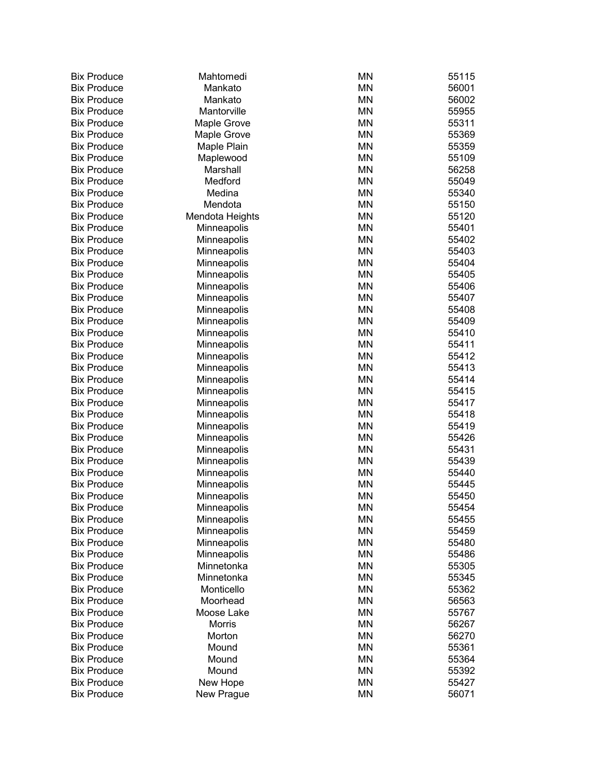| <b>Bix Produce</b>                       | Mahtomedi       | ΜN                     | 55115          |
|------------------------------------------|-----------------|------------------------|----------------|
| <b>Bix Produce</b>                       | Mankato         | <b>MN</b>              | 56001          |
| <b>Bix Produce</b>                       | Mankato         | <b>MN</b>              | 56002          |
| <b>Bix Produce</b>                       | Mantorville     | <b>MN</b>              | 55955          |
| <b>Bix Produce</b>                       | Maple Grove     | <b>MN</b>              | 55311          |
| <b>Bix Produce</b>                       | Maple Grove     | <b>MN</b>              | 55369          |
| <b>Bix Produce</b>                       | Maple Plain     | <b>MN</b>              | 55359          |
| <b>Bix Produce</b>                       | Maplewood       | <b>MN</b>              | 55109          |
| <b>Bix Produce</b>                       | Marshall        | <b>MN</b>              | 56258          |
| <b>Bix Produce</b>                       | Medford         | <b>MN</b>              | 55049          |
| <b>Bix Produce</b>                       | Medina          | <b>MN</b>              | 55340          |
| <b>Bix Produce</b>                       | Mendota         | <b>MN</b>              | 55150          |
| <b>Bix Produce</b>                       | Mendota Heights | <b>MN</b>              | 55120          |
| <b>Bix Produce</b>                       | Minneapolis     | <b>MN</b>              | 55401          |
| <b>Bix Produce</b>                       | Minneapolis     | <b>MN</b>              | 55402          |
| <b>Bix Produce</b>                       | Minneapolis     | <b>MN</b>              | 55403          |
| <b>Bix Produce</b>                       | Minneapolis     | <b>MN</b>              | 55404          |
| <b>Bix Produce</b>                       | Minneapolis     | <b>MN</b>              | 55405          |
| <b>Bix Produce</b>                       | Minneapolis     | <b>MN</b>              | 55406          |
| <b>Bix Produce</b>                       | Minneapolis     | <b>MN</b>              | 55407          |
| <b>Bix Produce</b>                       | Minneapolis     | <b>MN</b>              | 55408          |
| <b>Bix Produce</b>                       | Minneapolis     | <b>MN</b>              | 55409          |
| <b>Bix Produce</b>                       | Minneapolis     | <b>MN</b>              | 55410          |
| <b>Bix Produce</b>                       | Minneapolis     | <b>MN</b>              | 55411          |
| <b>Bix Produce</b>                       | Minneapolis     | <b>MN</b>              | 55412          |
| <b>Bix Produce</b>                       | Minneapolis     | <b>MN</b>              | 55413          |
| <b>Bix Produce</b>                       | Minneapolis     | <b>MN</b>              | 55414          |
| <b>Bix Produce</b>                       | Minneapolis     | <b>MN</b>              | 55415          |
| <b>Bix Produce</b>                       | Minneapolis     | <b>MN</b>              | 55417          |
| <b>Bix Produce</b>                       | Minneapolis     | <b>MN</b>              | 55418          |
| <b>Bix Produce</b>                       | Minneapolis     | <b>MN</b>              | 55419          |
| <b>Bix Produce</b>                       | Minneapolis     | <b>MN</b>              | 55426          |
| <b>Bix Produce</b>                       | Minneapolis     | <b>MN</b>              | 55431          |
| <b>Bix Produce</b>                       | Minneapolis     | <b>MN</b>              | 55439          |
| <b>Bix Produce</b>                       | Minneapolis     | <b>MN</b>              | 55440          |
| <b>Bix Produce</b>                       | Minneapolis     | <b>MN</b>              | 55445          |
| <b>Bix Produce</b>                       | Minneapolis     | MN                     | 55450          |
| <b>Bix Produce</b>                       | Minneapolis     | <b>MN</b>              | 55454          |
| <b>Bix Produce</b>                       | Minneapolis     | ΜN                     | 55455          |
| <b>Bix Produce</b>                       | Minneapolis     | ΜN                     | 55459          |
| <b>Bix Produce</b>                       | Minneapolis     | ΜN                     | 55480          |
| <b>Bix Produce</b>                       | Minneapolis     | <b>MN</b>              | 55486          |
| <b>Bix Produce</b>                       | Minnetonka      | <b>MN</b>              | 55305          |
| <b>Bix Produce</b>                       | Minnetonka      | <b>MN</b>              | 55345          |
| <b>Bix Produce</b>                       | Monticello      | <b>MN</b>              | 55362          |
| <b>Bix Produce</b>                       | Moorhead        | <b>MN</b>              | 56563          |
| <b>Bix Produce</b>                       | Moose Lake      | <b>MN</b>              | 55767          |
| <b>Bix Produce</b>                       | Morris          | <b>MN</b>              | 56267          |
| <b>Bix Produce</b>                       | Morton          | <b>MN</b>              | 56270          |
| <b>Bix Produce</b>                       | Mound           | <b>MN</b>              | 55361          |
| <b>Bix Produce</b><br><b>Bix Produce</b> | Mound<br>Mound  | <b>MN</b><br><b>MN</b> | 55364          |
| <b>Bix Produce</b>                       | New Hope        | <b>MN</b>              | 55392<br>55427 |
| <b>Bix Produce</b>                       |                 | <b>MN</b>              | 56071          |
|                                          | New Prague      |                        |                |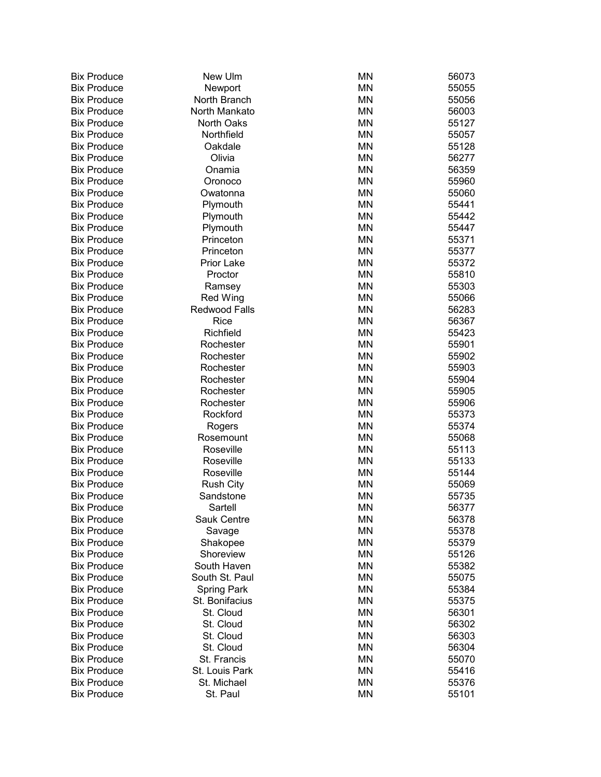| <b>Bix Produce</b> | New Ulm              | <b>MN</b> | 56073 |
|--------------------|----------------------|-----------|-------|
| <b>Bix Produce</b> | Newport              | <b>MN</b> | 55055 |
| <b>Bix Produce</b> | North Branch         | <b>MN</b> | 55056 |
| <b>Bix Produce</b> | North Mankato        | <b>MN</b> | 56003 |
| <b>Bix Produce</b> | <b>North Oaks</b>    | <b>MN</b> | 55127 |
| <b>Bix Produce</b> | Northfield           | MN        | 55057 |
| <b>Bix Produce</b> | Oakdale              | <b>MN</b> | 55128 |
| <b>Bix Produce</b> | Olivia               | <b>MN</b> | 56277 |
| <b>Bix Produce</b> | Onamia               | MN        | 56359 |
| <b>Bix Produce</b> | Oronoco              | MN        | 55960 |
| <b>Bix Produce</b> | Owatonna             | MN        | 55060 |
| <b>Bix Produce</b> | Plymouth             | MN        | 55441 |
| <b>Bix Produce</b> | Plymouth             | MN        | 55442 |
| <b>Bix Produce</b> | Plymouth             | MN        | 55447 |
| <b>Bix Produce</b> | Princeton            | <b>MN</b> | 55371 |
| <b>Bix Produce</b> | Princeton            | <b>MN</b> | 55377 |
| <b>Bix Produce</b> | Prior Lake           | <b>MN</b> | 55372 |
| <b>Bix Produce</b> | Proctor              | <b>MN</b> | 55810 |
| <b>Bix Produce</b> | Ramsey               | MN        | 55303 |
| <b>Bix Produce</b> | Red Wing             | MN        | 55066 |
| <b>Bix Produce</b> | <b>Redwood Falls</b> | <b>MN</b> | 56283 |
| <b>Bix Produce</b> | Rice                 | MN        | 56367 |
| <b>Bix Produce</b> | Richfield            | <b>MN</b> | 55423 |
| <b>Bix Produce</b> | Rochester            | <b>MN</b> | 55901 |
| <b>Bix Produce</b> | Rochester            | <b>MN</b> | 55902 |
| <b>Bix Produce</b> | Rochester            | <b>MN</b> | 55903 |
| <b>Bix Produce</b> | Rochester            | <b>MN</b> | 55904 |
| <b>Bix Produce</b> | Rochester            | MN        | 55905 |
| <b>Bix Produce</b> | Rochester            | <b>MN</b> | 55906 |
| <b>Bix Produce</b> | Rockford             | <b>MN</b> | 55373 |
| <b>Bix Produce</b> | Rogers               | MN        | 55374 |
| <b>Bix Produce</b> | Rosemount            | MN        | 55068 |
| <b>Bix Produce</b> | Roseville            | MN        | 55113 |
| <b>Bix Produce</b> | Roseville            | MN        | 55133 |
| <b>Bix Produce</b> | Roseville            | MN        | 55144 |
| <b>Bix Produce</b> | <b>Rush City</b>     | MN        | 55069 |
| <b>Bix Produce</b> | Sandstone            | MN        | 55735 |
| <b>Bix Produce</b> | Sartell              | ΜN        | 56377 |
| <b>Bix Produce</b> | Sauk Centre          | ΜN        | 56378 |
| <b>Bix Produce</b> | Savage               | MN        | 55378 |
| <b>Bix Produce</b> | Shakopee             | MN        | 55379 |
| <b>Bix Produce</b> | Shoreview            | MN        | 55126 |
| <b>Bix Produce</b> | South Haven          | MN        | 55382 |
| <b>Bix Produce</b> | South St. Paul       | <b>MN</b> | 55075 |
| <b>Bix Produce</b> | <b>Spring Park</b>   | <b>MN</b> | 55384 |
| <b>Bix Produce</b> | St. Bonifacius       | <b>MN</b> | 55375 |
| <b>Bix Produce</b> | St. Cloud            | <b>MN</b> | 56301 |
| <b>Bix Produce</b> | St. Cloud            | <b>MN</b> | 56302 |
| <b>Bix Produce</b> | St. Cloud            | <b>MN</b> | 56303 |
| <b>Bix Produce</b> | St. Cloud            | <b>MN</b> | 56304 |
| <b>Bix Produce</b> | St. Francis          | <b>MN</b> | 55070 |
| <b>Bix Produce</b> | St. Louis Park       | <b>MN</b> | 55416 |
| <b>Bix Produce</b> | St. Michael          | <b>MN</b> | 55376 |
| <b>Bix Produce</b> | St. Paul             | MN        | 55101 |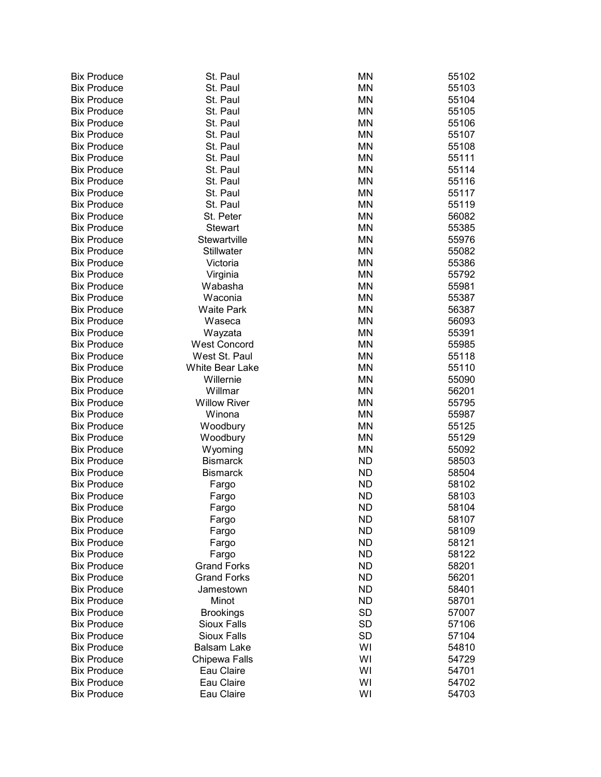| <b>Bix Produce</b> | St. Paul            | <b>MN</b> | 55102 |
|--------------------|---------------------|-----------|-------|
| <b>Bix Produce</b> | St. Paul            | <b>MN</b> | 55103 |
| <b>Bix Produce</b> | St. Paul            | <b>MN</b> | 55104 |
| <b>Bix Produce</b> | St. Paul            | MN        | 55105 |
| <b>Bix Produce</b> | St. Paul            | <b>MN</b> | 55106 |
| <b>Bix Produce</b> | St. Paul            | MN        | 55107 |
| <b>Bix Produce</b> | St. Paul            | MN        | 55108 |
| <b>Bix Produce</b> | St. Paul            | <b>MN</b> | 55111 |
| <b>Bix Produce</b> | St. Paul            | <b>MN</b> | 55114 |
| <b>Bix Produce</b> | St. Paul            | <b>MN</b> | 55116 |
| <b>Bix Produce</b> | St. Paul            | <b>MN</b> | 55117 |
| <b>Bix Produce</b> | St. Paul            | <b>MN</b> | 55119 |
| <b>Bix Produce</b> | St. Peter           | <b>MN</b> | 56082 |
| <b>Bix Produce</b> | <b>Stewart</b>      | <b>MN</b> | 55385 |
| <b>Bix Produce</b> | Stewartville        | <b>MN</b> | 55976 |
| <b>Bix Produce</b> | Stillwater          | <b>MN</b> | 55082 |
| <b>Bix Produce</b> | Victoria            | <b>MN</b> | 55386 |
| <b>Bix Produce</b> | Virginia            | <b>MN</b> | 55792 |
| <b>Bix Produce</b> | Wabasha             | MN        | 55981 |
| <b>Bix Produce</b> | Waconia             | MN        | 55387 |
| <b>Bix Produce</b> | <b>Waite Park</b>   | MN        | 56387 |
| <b>Bix Produce</b> | Waseca              | MN        | 56093 |
| <b>Bix Produce</b> | Wayzata             | MN        | 55391 |
| <b>Bix Produce</b> | <b>West Concord</b> | MN        | 55985 |
| <b>Bix Produce</b> | West St. Paul       | MN        | 55118 |
|                    |                     | <b>MN</b> |       |
| <b>Bix Produce</b> | White Bear Lake     |           | 55110 |
| <b>Bix Produce</b> | Willernie           | <b>MN</b> | 55090 |
| <b>Bix Produce</b> | Willmar             | <b>MN</b> | 56201 |
| <b>Bix Produce</b> | <b>Willow River</b> | <b>MN</b> | 55795 |
| <b>Bix Produce</b> | Winona              | <b>MN</b> | 55987 |
| <b>Bix Produce</b> | Woodbury            | MN        | 55125 |
| <b>Bix Produce</b> | Woodbury            | MN        | 55129 |
| <b>Bix Produce</b> | Wyoming             | MN        | 55092 |
| <b>Bix Produce</b> | <b>Bismarck</b>     | <b>ND</b> | 58503 |
| <b>Bix Produce</b> | <b>Bismarck</b>     | <b>ND</b> | 58504 |
| <b>Bix Produce</b> | Fargo               | <b>ND</b> | 58102 |
| <b>Bix Produce</b> | Fargo               | <b>ND</b> | 58103 |
| <b>Bix Produce</b> | Fargo               | <b>ND</b> | 58104 |
| <b>Bix Produce</b> | Fargo               | <b>ND</b> | 58107 |
| <b>Bix Produce</b> | Fargo               | <b>ND</b> | 58109 |
| <b>Bix Produce</b> | Fargo               | <b>ND</b> | 58121 |
| <b>Bix Produce</b> | Fargo               | <b>ND</b> | 58122 |
| <b>Bix Produce</b> | <b>Grand Forks</b>  | <b>ND</b> | 58201 |
| <b>Bix Produce</b> | <b>Grand Forks</b>  | ND.       | 56201 |
| <b>Bix Produce</b> | Jamestown           | ND.       | 58401 |
| <b>Bix Produce</b> | Minot               | <b>ND</b> | 58701 |
| <b>Bix Produce</b> | <b>Brookings</b>    | <b>SD</b> | 57007 |
| <b>Bix Produce</b> | Sioux Falls         | <b>SD</b> | 57106 |
| <b>Bix Produce</b> | Sioux Falls         | <b>SD</b> | 57104 |
| <b>Bix Produce</b> | <b>Balsam Lake</b>  | WI        | 54810 |
| <b>Bix Produce</b> | Chipewa Falls       | WI        | 54729 |
| <b>Bix Produce</b> | Eau Claire          | WI        | 54701 |
| <b>Bix Produce</b> | Eau Claire          | WI        | 54702 |
| <b>Bix Produce</b> | Eau Claire          | WI        | 54703 |
|                    |                     |           |       |

| <b>MN</b>       | 5510         |
|-----------------|--------------|
| <b>MN</b>       | 5510         |
| MN              | 5510         |
| MN              | 5510         |
| <b>MN</b>       | 5510         |
| <b>MN</b>       | 5510         |
| MN              | 5510         |
| <b>MN</b>       | 5511         |
| MN              | 5511         |
| MN              | 5511         |
| MN<br>MN        | 5511<br>5511 |
| MN              | 5608         |
| MN              | 5538         |
| MN              | 5597         |
| MN              | 5508         |
| MN              | 5538         |
| MN              | 5579         |
| MN              | 5598         |
| MN              | 5538         |
| MN              | 5638         |
| <b>MN</b>       | 5609         |
| MN              | 5539         |
| MN              | 5598         |
| <b>MN</b>       | 5511         |
| <b>MN</b>       | 5511         |
| <b>MN</b>       | 5509         |
| MN              | 5620         |
| <b>MN</b>       | 5579         |
| ΜN              | 5598         |
| MN              | 5512         |
| MN              | 5512         |
| MN<br><b>ND</b> | 5509<br>5850 |
| <b>ND</b>       | 5850         |
| <b>ND</b>       | 5810         |
| <b>ND</b>       | 5810         |
| ND              | 5810         |
| ND              | 5810         |
| ND              | 5810         |
| ND              | 5812         |
| <b>ND</b>       | 5812         |
| <b>ND</b>       | 5820         |
| <b>ND</b>       | 5620         |
| <b>ND</b>       | 5840         |
| <b>ND</b>       | 5870         |
| <b>SD</b>       | 5700         |
| <b>SD</b>       | 5710         |
| <b>SD</b>       | 5710         |
| WI              | 5481         |
| WI              | 5472         |
| WI              | 5470         |
| WI              | 5470         |
| WI              | 5470         |